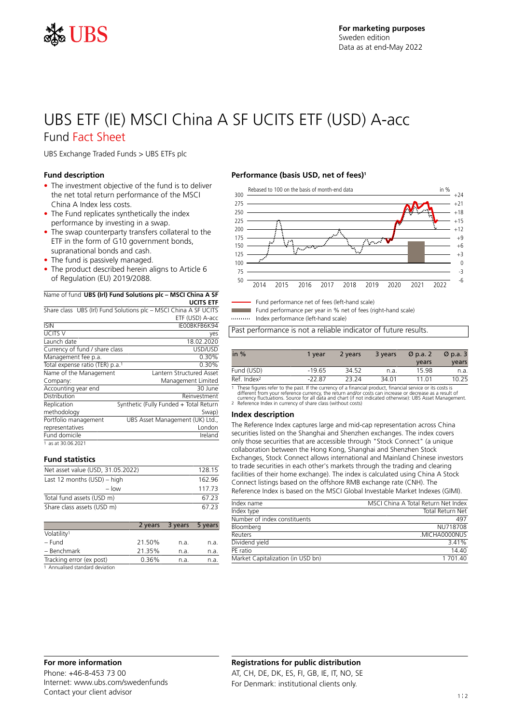

## UBS ETF (IE) MSCI China A SF UCITS ETF (USD) A-acc Fund Fact Sheet

UBS Exchange Traded Funds > UBS ETFs plc

#### **Fund description**

- The investment objective of the fund is to deliver the net total return performance of the MSCI China A Index less costs.
- The Fund replicates synthetically the index performance by investing in a swap.
- The swap counterparty transfers collateral to the ETF in the form of G10 government bonds, supranational bonds and cash.
- The fund is passively managed.
- The product described herein aligns to Article 6 of Regulation (EU) 2019/2088.

|  | Name of fund UBS (Irl) Fund Solutions plc - MSCI China A SF |
|--|-------------------------------------------------------------|
|  | <b>UCITS ETF</b>                                            |

|                                 | Share class UBS (Irl) Fund Solutions plc – MSCI China A SF UCITS |
|---------------------------------|------------------------------------------------------------------|
|                                 | ETF (USD) A-acc                                                  |
| <b>ISIN</b>                     | IEOOBKFB6K94                                                     |
| <b>UCITS V</b>                  | yes                                                              |
| Launch date                     | 18.02.2020                                                       |
| Currency of fund / share class  | USD/USD                                                          |
| Management fee p.a.             | 0.30%                                                            |
| Total expense ratio (TER) p.a.1 | 0.30%                                                            |
| Name of the Management          | Lantern Structured Asset                                         |
| Company:                        | Management Limited                                               |
| Accounting year end             | 30 June                                                          |
| Distribution                    | Reinvestment                                                     |
| Replication                     | Synthetic (Fully Funded + Total Return                           |
| methodology                     | Swap)                                                            |
| Portfolio management            | UBS Asset Management (UK) Ltd.,                                  |
| representatives                 | London                                                           |
| Fund domicile                   | Ireland                                                          |
| 1 as at 30.06.2021              |                                                                  |

#### **Fund statistics**

| Net asset value (USD, 31.05.2022) | 128 15 |
|-----------------------------------|--------|
| Last 12 months (USD) - high       | 162 96 |
| $-$ low                           | 117 73 |
| Total fund assets (USD m)         | 67.23  |
| Share class assets (USD m)        | 67.23  |

|                                 |        | 2 years 3 years | 5 years |
|---------------------------------|--------|-----------------|---------|
| Volatility <sup>1</sup>         |        |                 |         |
| – Fund                          | 21.50% | n.a.            | n.a.    |
| - Benchmark                     | 21.35% | n.a.            | n.a.    |
| Tracking error (ex post)        | 0.36%  | n.a.            | n.a.    |
| 1 Annualised standard deviation |        |                 |         |

#### **Performance (basis USD, net of fees)<sup>1</sup>**



Fund performance net of fees (left-hand scale)

Fund performance per year in % net of fees (right-hand scale)

Index performance (left-hand scale)

Past performance is not a reliable indicator of future results.

| in $%$                                                                                                                                                                                                                        | 1 vear   | 2 years | 3 years | $\varnothing$ p.a. 2 | $\varnothing$ p.a. 3 |
|-------------------------------------------------------------------------------------------------------------------------------------------------------------------------------------------------------------------------------|----------|---------|---------|----------------------|----------------------|
|                                                                                                                                                                                                                               |          |         |         | years                | years                |
| Fund (USD)                                                                                                                                                                                                                    | $-19.65$ | 34.52   | n.a.    | 15.98                | n.a.                 |
| Ref. Index <sup>2</sup>                                                                                                                                                                                                       | $-2287$  | 23.24   | 34.01   | 11 01                | 10.25                |
| .a. The confliction of contract the contract of commences of a flower delivery flower flower delivery descriptions of the contract of the contract of the contract of the contract of the contract of the contract of the con |          |         |         |                      |                      |

1 These figures refer to the past. If the currency of a financial product, financial service or its costs is<br>different from your reference currency, the return and/or costs can increase or decrease as a result of<br>currency

#### **Index description**

The Reference Index captures large and mid-cap representation across China securities listed on the Shanghai and Shenzhen exchanges. The index covers only those securities that are accessible through "Stock Connect" (a unique collaboration between the Hong Kong, Shanghai and Shenzhen Stock Exchanges, Stock Connect allows international and Mainland Chinese investors to trade securities in each other's markets through the trading and clearing facilities of their home exchange). The index is calculated using China A Stock Connect listings based on the offshore RMB exchange rate (CNH). The Reference Index is based on the MSCI Global Investable Market Indexes (GIMI).

| Index name                        | MSCLChina A Total Return Net Index |
|-----------------------------------|------------------------------------|
| Index type                        | <b>Total Return Net</b>            |
| Number of index constituents      | 497                                |
| Bloomberg                         | NU718708                           |
| Reuters                           | MICHA0000NUS                       |
| Dividend yield                    | 341%                               |
| PF ratio                          | 14 40                              |
| Market Capitalization (in USD bn) | 1 701 40                           |
|                                   |                                    |

Phone: +46-8-453 73 00 Internet: www.ubs.com/swedenfunds Contact your client advisor

### **Registrations for public distribution**

AT, CH, DE, DK, ES, FI, GB, IE, IT, NO, SE For Denmark: institutional clients only.